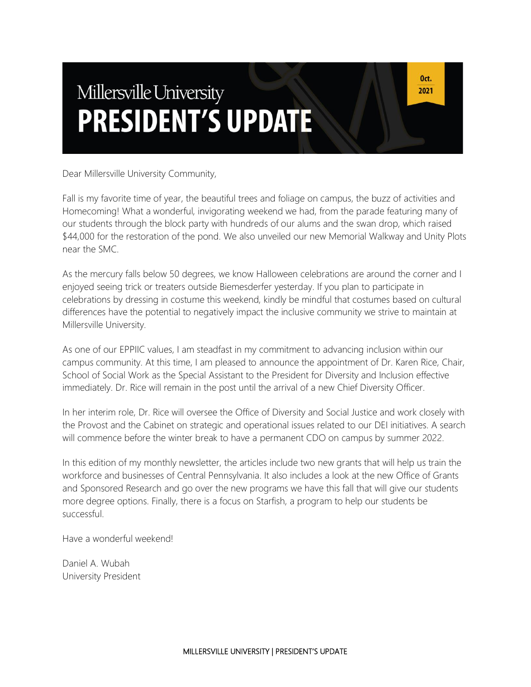# Millersville University **PRESIDENT'S UPDATE**

Dear Millersville University Community,

Fall is my favorite time of year, the beautiful trees and foliage on campus, the buzz of activities and Homecoming! What a wonderful, invigorating weekend we had, from the parade featuring many of our students through the block party with hundreds of our alums and the swan drop, which raised \$44,000 for the restoration of the pond. We also unveiled our new Memorial Walkway and Unity Plots near the SMC.

As the mercury falls below 50 degrees, we know Halloween celebrations are around the corner and I enjoyed seeing trick or treaters outside Biemesderfer yesterday. If you plan to participate in celebrations by dressing in costume this weekend, kindly be mindful that costumes based on cultural differences have the potential to negatively impact the inclusive community we strive to maintain at Millersville University.

As one of our EPPIIC values, I am steadfast in my commitment to advancing inclusion within our campus community. At this time, I am pleased to announce the appointment of Dr. Karen Rice, Chair, School of Social Work as the Special Assistant to the President for Diversity and Inclusion effective immediately. Dr. Rice will remain in the post until the arrival of a new Chief Diversity Officer.

In her interim role, Dr. Rice will oversee the Office of Diversity and Social Justice and work closely with the Provost and the Cabinet on strategic and operational issues related to our DEI initiatives. A search will commence before the winter break to have a permanent CDO on campus by summer 2022.

In this edition of my monthly newsletter, the articles include two new grants that will help us train the workforce and businesses of Central Pennsylvania. It also includes a look at the new Office of Grants and Sponsored Research and go over the new programs we have this fall that will give our students more degree options. Finally, there is a focus on Starfish, a program to help our students be successful.

Have a wonderful weekend!

Daniel A. Wubah University President

Oct. 2021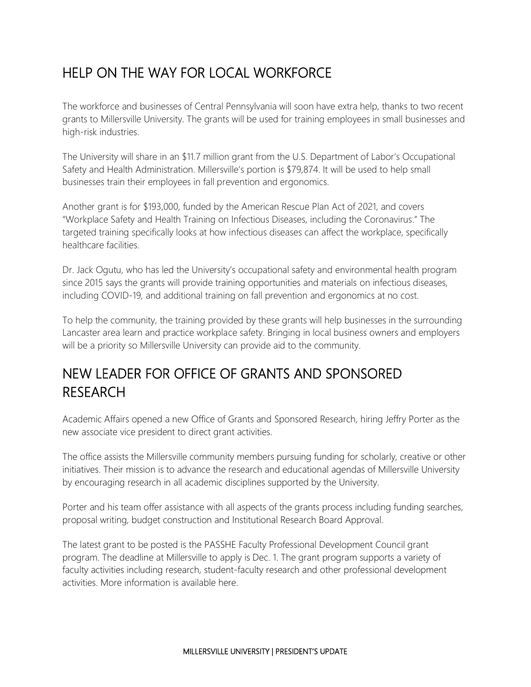## HELP ON THE WAY FOR LOCAL WORKFORCE

The workforce and businesses of Central Pennsylvania will soon have extra help, thanks to two recent grants to Millersville University. The grants will be used for training employees in small businesses and high-risk industries.

The University will share in an \$11.7 million grant from the U.S. Department of Labor's Occupational Safety and Health Administration. Millersville's portion is \$79,874. It will be used to help small businesses train their employees in fall prevention and ergonomics.

Another grant is for \$193,000, funded by the American Rescue Plan Act of 2021, and covers "Workplace Safety and Health Training on Infectious Diseases, including the Coronavirus." The targeted training specifically looks at how infectious diseases can affect the workplace, specifically healthcare facilities.

Dr. Jack Ogutu, who has led the University's occupational safety and environmental health program since 2015 says the grants will provide training opportunities and materials on infectious diseases, including COVID-19, and additional training on fall prevention and ergonomics at no cost.

To help the community, the training provided by these grants will help businesses in the surrounding Lancaster area learn and practice workplace safety. Bringing in local business owners and employers will be a priority so Millersville University can provide aid to the community.

### NEW LEADER FOR OFFICE OF GRANTS AND SPONSORED RESEARCH

Academic Affairs opened a new Office of Grants and Sponsored Research, hiring Jeffry Porter as the new associate vice president to direct grant activities.

The office assists the Millersville community members pursuing funding for scholarly, creative or other initiatives. Their mission is to advance the research and educational agendas of Millersville University by encouraging research in all academic disciplines supported by the University.

Porter and his team offer assistance with all aspects of the grants process including funding searches, proposal writing, budget construction and Institutional Research Board Approval.

The latest grant to be posted is the PASSHE Faculty Professional Development Council grant program. The deadline at Millersville to apply is Dec. 1. The grant program supports a variety of faculty activities including research, student-faculty research and other professional development activities. More information is available here.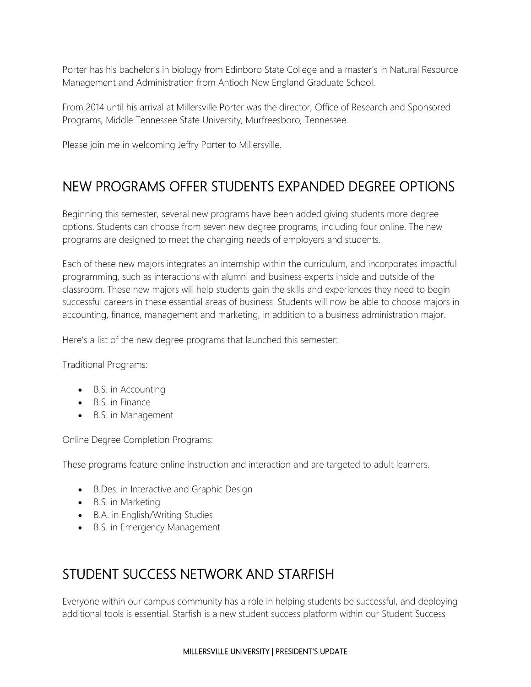Porter has his bachelor's in biology from Edinboro State College and a master's in Natural Resource Management and Administration from Antioch New England Graduate School.

From 2014 until his arrival at Millersville Porter was the director, Office of Research and Sponsored Programs, Middle Tennessee State University, Murfreesboro, Tennessee.

Please join me in welcoming Jeffry Porter to Millersville.

#### NEW PROGRAMS OFFER STUDENTS EXPANDED DEGREE OPTIONS

Beginning this semester, several new programs have been added giving students more degree options. Students can choose from seven new degree programs, including four online. The new programs are designed to meet the changing needs of employers and students.

Each of these new majors integrates an internship within the curriculum, and incorporates impactful programming, such as interactions with alumni and business experts inside and outside of the classroom. These new majors will help students gain the skills and experiences they need to begin successful careers in these essential areas of business. Students will now be able to choose majors in accounting, finance, management and marketing, in addition to a business administration major.

Here's a list of the new degree programs that launched this semester:

Traditional Programs:

- B.S. in Accounting
- B.S. in Finance
- B.S. in Management

Online Degree Completion Programs:

These programs feature online instruction and interaction and are targeted to adult learners.

- B.Des. in Interactive and Graphic Design
- B.S. in Marketing
- B.A. in English/Writing Studies
- B.S. in Emergency Management

#### STUDENT SUCCESS NETWORK AND STARFISH

Everyone within our campus community has a role in helping students be successful, and deploying additional tools is essential. Starfish is a new student success platform within our Student Success

#### MILLERSVILLE UNIVERSITY | PRESIDENT'S UPDATE